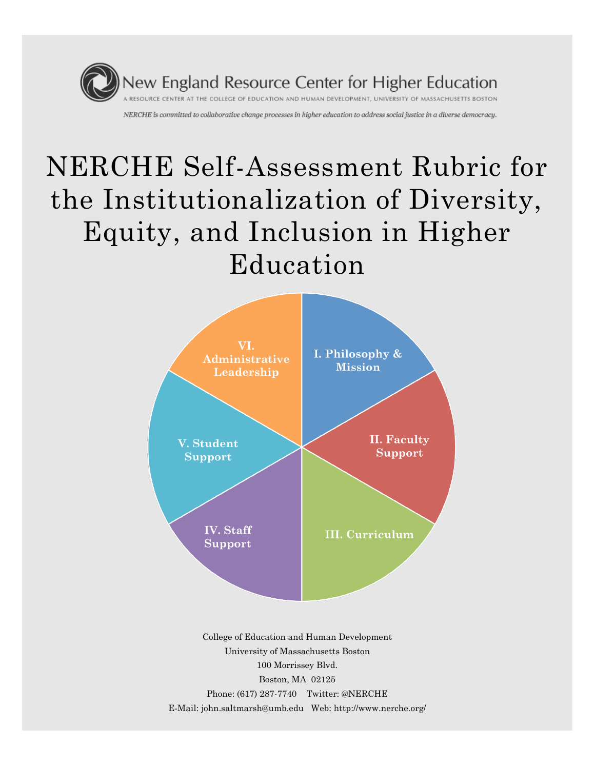

# NERCHE Self-Assessment Rubric for the Institutionalization of Diversity, Equity, and Inclusion in Higher Education



100 Morrissey Blvd. Boston, MA 02125 Phone: (617) 287-7740 Twitter: @NERCHE E-Mail: john.saltmarsh@umb.edu Web: http://www.nerche.org/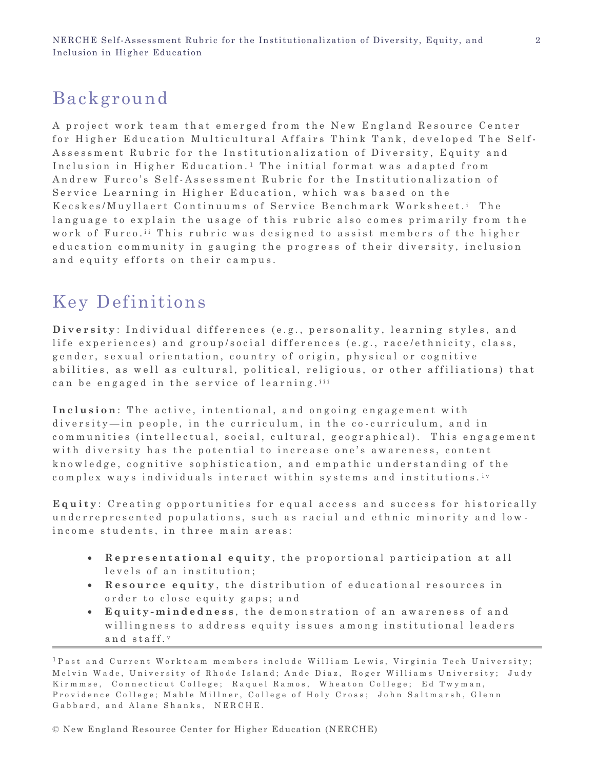# Background

A project work team that emerged from the New England Resource Center for Higher Education Multicultural Affairs Think Tank, developed The Self-Assessment Rubric for the Institutionalization of Diversity, Equity and Inclusion in Higher Education.<sup>1</sup> The initial format was adapted from Andrew Furco's Self-Assessment Rubric for the Institutionalization of Service Learning in Higher Education, which was based on the Kecskes/Muyllaert Continuums of Service Benchmark Worksheet.<sup>i</sup> The language to explain the usage of this rubric also comes primarily from the work of Furco.<sup>ii</sup> This rubric was designed to assist members of the higher education community in gauging the progress of their diversity, inclusion and equity efforts on their campus.

# Key Definitions

**Diversity**: Individual differences (e.g., personality, learning styles, and life experiences) and group/social differences (e.g., race/ethnicity, class, gender, sexual orientation, country of origin, physical or cognitive abilities, as well as cultural, political, religious, or other affiliations) that can be engaged in the service of learning. iii

Inclusion: The active, intentional, and ongoing engagement with diversity—in people, in the curriculum, in the co-curriculum, and in communities (intellectual, social, cultural, geographical). This engagement with diversity has the potential to increase one's awareness, content knowledge, cognitive sophistication, and empathic understanding of the complex ways individuals interact within systems and institutions.<sup>iv</sup>

**Equity**: Creating opportunities for equal access and success for historically underrepresented populations, such as racial and ethnic minority and lowincome students, in three main areas:

- **Representational equity**, the proportional participation at all levels of an institution;
- **Resource equity**, the distribution of educational resources in order to close equity gaps; and
- **•** Equity-mindedness, the demonstration of an awareness of and willingness to address equity issues among institutional leaders and staff.v

<sup>&</sup>lt;sup>1</sup> Past and Current Workteam members include William Lewis, Virginia Tech University; Melvin Wade, University of Rhode Island; Ande Diaz, Roger Williams University; Judy Kirmmse, Connecticut College; Raquel Ramos, Wheaton College; Ed Twyman, Providence College; Mable Millner, College of Holy Cross; John Saltmarsh, Glenn Gabbard, and Alane Shanks, NERCHE.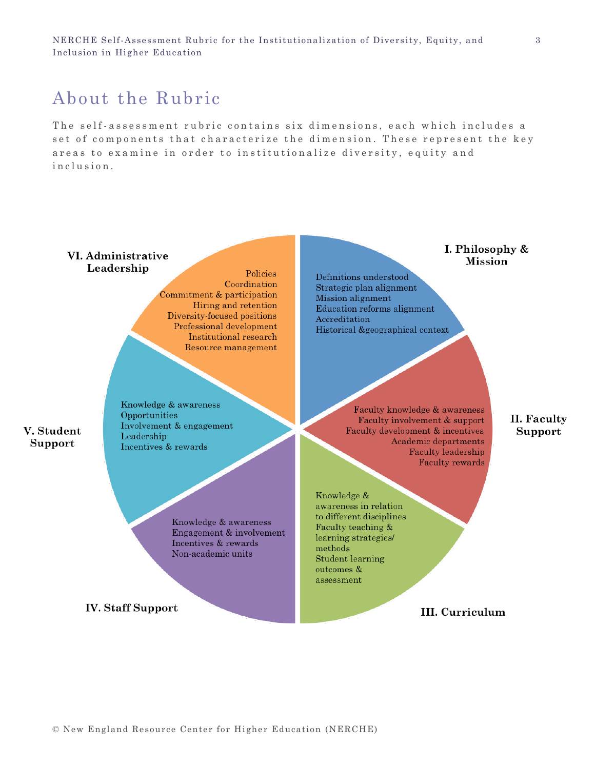# About the Rubric

The self-assessment rubric contains six dimensions, each which includes a set of components that characterize the dimension. These represent the key areas to examine in order to institutionalize diversity, equity and in clusion.

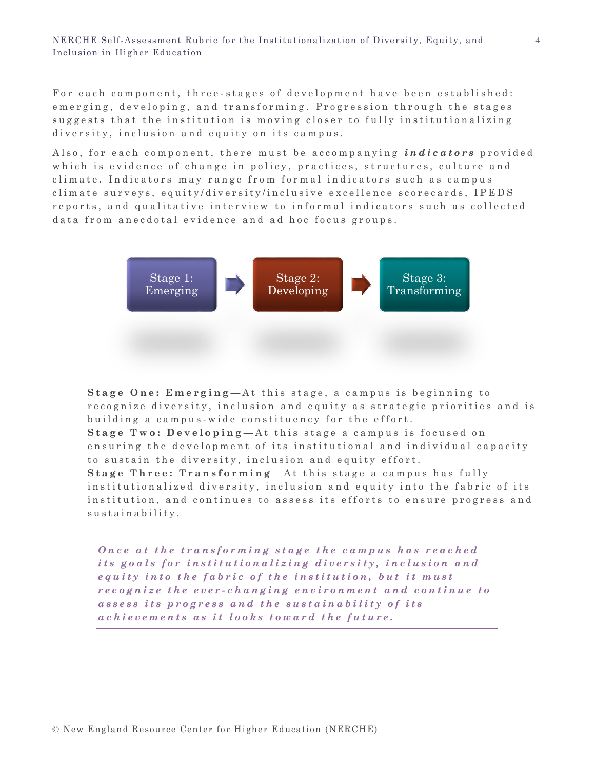For each component, three-stages of development have been established: emerging, developing, and transforming. Progression through the stages suggests that the institution is moving closer to fully institutionalizing diversity, inclusion and equity on its campus.

Also, for each component, there must be accompanying *indicators* provided which is evidence of change in policy, practices, structures, culture and climate. Indicators may range from formal indicators such as campus climate surveys, equity/diversity/inclusive excellence scorecards, IPEDS reports, and qualitative interview to informal indicators such as collected data from anecdotal evidence and ad hoc focus groups.



**Stage One: Emerging**—At this stage, a campus is beginning to recognize diversity, inclusion and equity as strategic priorities and is building a campus - wide constituency for the effort.

**Stage Two: Developing**—At this stage a campus is focused on ensuring the development of its institutional and individual capacity to sustain the diversity, inclusion and equity effort.

**Stage Three: Transforming**—At this stage a campus has fully institutionalized diversity, inclusion and equity into the fabric of its institution, and continues to assess its efforts to ensure progress and sustainability.

*Once at the transforming stage the campus has reached its goals for institutionalizing diversity, inclusion and equity into the fabric of the institution, but it must r e c o g n i z e t h e e v e r - c h a n g i n g e n v i r o n m e n t a n d c o n t i n u e t o*  assess its progress and the sustainability of its *achievements as it looks toward the future.*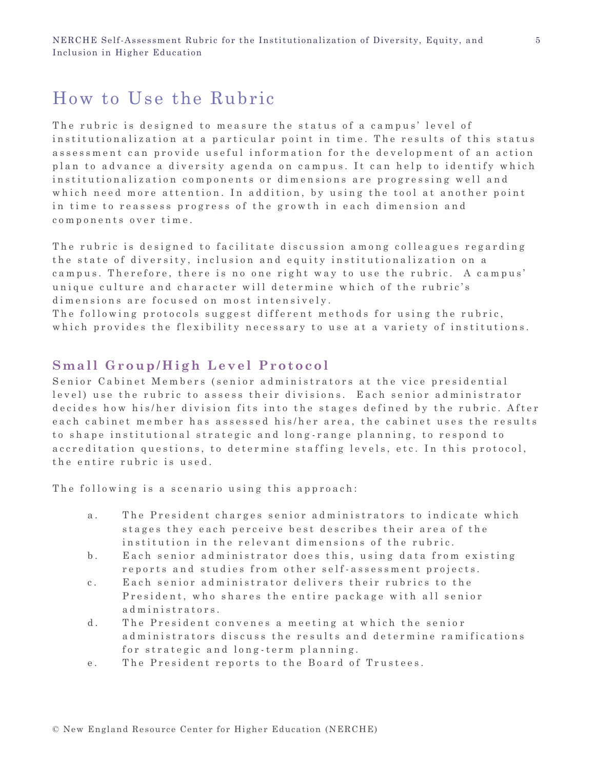# How to Use the Rubric

The rubric is designed to measure the status of a campus' level of in stitutionalization at a particular point in time. The results of this status assessment can provide useful information for the development of an action plan to advance a diversity agenda on campus. It can help to identify which in stitutionalization components or dimensions are progressing well and which need more attention. In addition, by using the tool at another point in time to reassess progress of the growth in each dimension and components over time.

The rubric is designed to facilitate discussion among colleagues regarding the state of diversity, inclusion and equity institutionalization on a campus. Therefore, there is no one right way to use the rubric. A campus' unique culture and character will determine which of the rubric's dimensions are focused on most intensively.

The following protocols suggest different methods for using the rubric, which provides the flexibility necessary to use at a variety of institutions.

#### **Small Group/High Level Protocol**

Senior Cabinet Members (senior administrators at the vice presidential level) use the rubric to assess their divisions. Each senior administrator decides how his/her division fits into the stages defined by the rubric. After each cabinet member has assessed his/her area, the cabinet uses the results to shape institutional strategic and long-range planning, to respond to accreditation questions, to determine staffing levels, etc. In this protocol, the entire rubric is used.

The following is a scenario using this approach:

- a. The President charges senior administrators to indicate which stages they each perceive best describes their area of the institution in the relevant dimensions of the rubric.
- b. Each senior administrator does this, using data from existing reports and studies from other self-assessment projects.
- c. Each senior administrator delivers their rubrics to the President, who shares the entire package with all senior administrators.
- d. The President convenes a meeting at which the senior ad ministrators discuss the results and determine ramifications for strategic and long-term planning.
- e. The President reports to the Board of Trustees.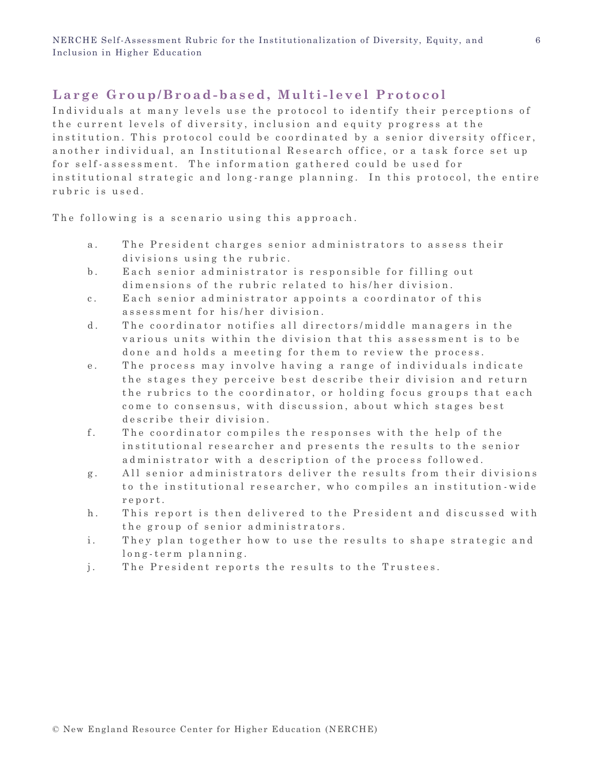#### Large Group/Broad-based, Multi-level Protocol

Individuals at many levels use the protocol to identify their perceptions of the current levels of diversity, inclusion and equity progress at the in stitution. This protocol could be coordinated by a senior diversity officer, an o ther individual, an Institutional Research office, or a task force set up for self-assessment. The information gathered could be used for in stitutional strategic and long-range planning. In this protocol, the entire rubric is used.

The following is a scenario using this approach.

- a. The President charges senior administrators to assess their divisions using the rubric.
- b. Each senior administrator is responsible for filling out dimensions of the rubric related to his/her division.
- c. Each senior administrator appoints a coordinator of this assessment for his/her division.
- d. The coordinator notifies all directors/middle managers in the various units within the division that this assessment is to be done and holds a meeting for them to review the process.
- e. The process may involve having a range of individuals indicate the stages they perceive best describe their division and return the rubrics to the coordinator, or holding focus groups that each come to consensus, with discussion, about which stages best describe their division.
- f. The coordinator compiles the responses with the help of the in stitutional researcher and presents the results to the senior ad ministrator with a description of the process followed.
- g. All senior administrators deliver the results from their divisions to the institutional researcher, who compiles an institution-wide r e p o r t .
- h. This report is then delivered to the President and discussed with the group of senior administrators.
- i. They plan together how to use the results to shape strategic and long-term planning.
- j. The President reports the results to the Trustees.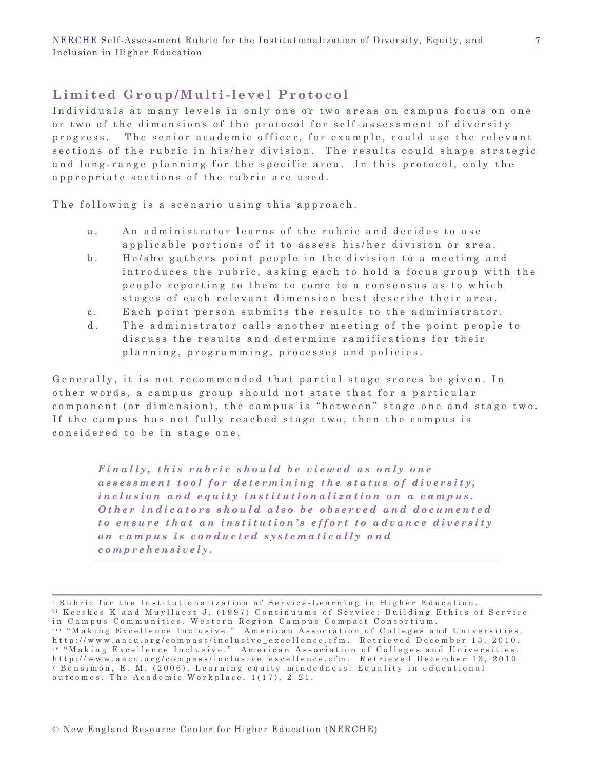#### Limited Group/Multi-level Protocol

Individuals at many levels in only one or two areas on campus focus on one or two of the dimensions of the protocol for self-assessment of diversity progress. The senior academic officer, for example, could use the relevant sections of the rubric in his/her division. The results could shape strategic and long-range planning for the specific area. In this protocol, only the appropriate sections of the rubric are used.

The following is a scenario using this approach.

- a. An administrator learns of the rubric and decides to use applicable portions of it to assess his/her division or area.
- b. He/she gathers point people in the division to a meeting and introduces the rubric, asking each to hold a focus group with the people reporting to them to come to a consensus as to which stages of each relevant dimension best describe their area.
- c. Each point person submits the results to the administrator.
- d. The administrator calls another meeting of the point people to discuss the results and determine ramifications for their planning, programming, processes and policies.

Generally, it is not recommended that partial stage scores be given. In o ther words, a campus group should not state that for a particular component (or dimension), the campus is "between" stage one and stage two. If the campus has not fully reached stage two, then the campus is considered to be in stage one.

*Finally, this rubric should be viewed as only one* assessment tool for determining the status of diversity, *inclusion and equity institutionalization on a campus. Other indicators should also be observed and documented to ensure that an institution's effort to advance diversity o n c a m p u s i s c o n d u c t e d s y s t e m a t i c a l l y a n d c o m p r e h e n s i v e l y .* 

<sup>&</sup>lt;sup>i</sup> Rubric for the Institutionalization of Service-Learning in Higher Education. <sup>ii</sup> Kecskes K and Muyllaert J. (1997) Continuums of Service: Building Ethics of Service in Campus Communities. Western Region Campus Compact Consortium. <sup>iii</sup> "Making Excellence Inclusive." American Association of Colleges and Universities. http://www.aacu.org/compass/inclusive\_excellence.cfm. Retrieved December 13, 2010. iv "Making Excellence Inclusive." American Association of Colleges and Universities. http://www.aacu.org/compass/inclusive excellence.cfm. Retrieved December 13, 2010. v Bensimon, E. M. (2006). Learning equity-mindedness: Equality in educational outcomes. The Academic Workplace,  $1(17)$ ,  $2-21$ .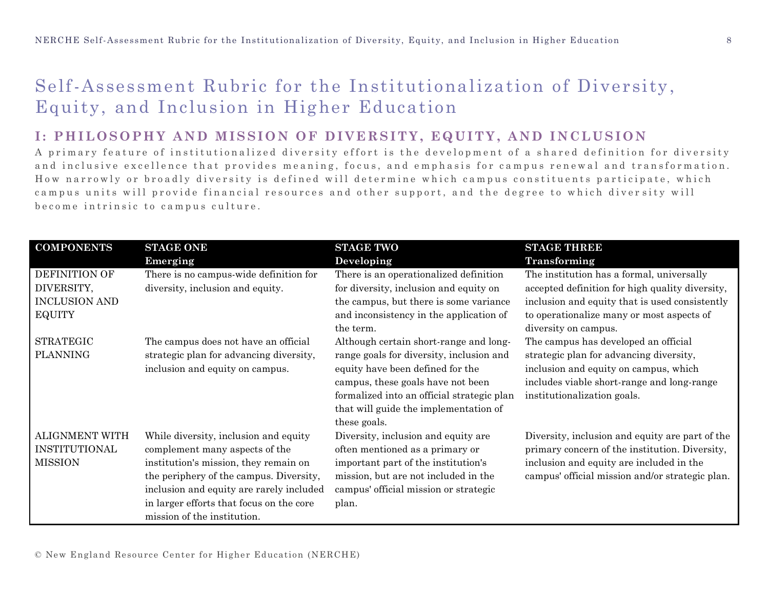# Self-Assessment Rubric for the Institutionalization of Diversity, Equity, and Inclusion in Higher Education

#### **I: PHILOSOPHY AND MISSION OF DIVERSITY, EQUITY, AND INCLUSION**

A primary feature of institutionalized diversity effort is the development of a shared definition for diversity and inclusive excellence that provides meaning, focus, and emphasis for campus renewal and transformation. How narrowly or broadly diversity is defined will determine which campus constituents participate, which campus units will provide financial resources and other support, and the degree to which diversity will become intrinsic to campus culture.

| <b>COMPONENTS</b>     | <b>STAGE ONE</b>                         | <b>STAGE TWO</b>                           | <b>STAGE THREE</b>                              |
|-----------------------|------------------------------------------|--------------------------------------------|-------------------------------------------------|
|                       | Emerging                                 | Developing                                 | Transforming                                    |
| DEFINITION OF         | There is no campus-wide definition for   | There is an operationalized definition     | The institution has a formal, universally       |
| DIVERSITY,            | diversity, inclusion and equity.         | for diversity, inclusion and equity on     | accepted definition for high quality diversity, |
| <b>INCLUSION AND</b>  |                                          | the campus, but there is some variance     | inclusion and equity that is used consistently  |
| <b>EQUITY</b>         |                                          | and inconsistency in the application of    | to operationalize many or most aspects of       |
|                       |                                          | the term.                                  | diversity on campus.                            |
| <b>STRATEGIC</b>      | The campus does not have an official     | Although certain short-range and long-     | The campus has developed an official            |
| <b>PLANNING</b>       | strategic plan for advancing diversity,  | range goals for diversity, inclusion and   | strategic plan for advancing diversity,         |
|                       | inclusion and equity on campus.          | equity have been defined for the           | inclusion and equity on campus, which           |
|                       |                                          | campus, these goals have not been          | includes viable short-range and long-range      |
|                       |                                          | formalized into an official strategic plan | institutionalization goals.                     |
|                       |                                          | that will guide the implementation of      |                                                 |
|                       |                                          | these goals.                               |                                                 |
| <b>ALIGNMENT WITH</b> | While diversity, inclusion and equity    | Diversity, inclusion and equity are        | Diversity, inclusion and equity are part of the |
| <b>INSTITUTIONAL</b>  | complement many aspects of the           | often mentioned as a primary or            | primary concern of the institution. Diversity,  |
| <b>MISSION</b>        | institution's mission, they remain on    | important part of the institution's        | inclusion and equity are included in the        |
|                       | the periphery of the campus. Diversity,  | mission, but are not included in the       | campus' official mission and/or strategic plan. |
|                       | inclusion and equity are rarely included | campus' official mission or strategic      |                                                 |
|                       | in larger efforts that focus on the core | plan.                                      |                                                 |
|                       | mission of the institution.              |                                            |                                                 |

© New England Resource Center for Higher Education (NERCHE)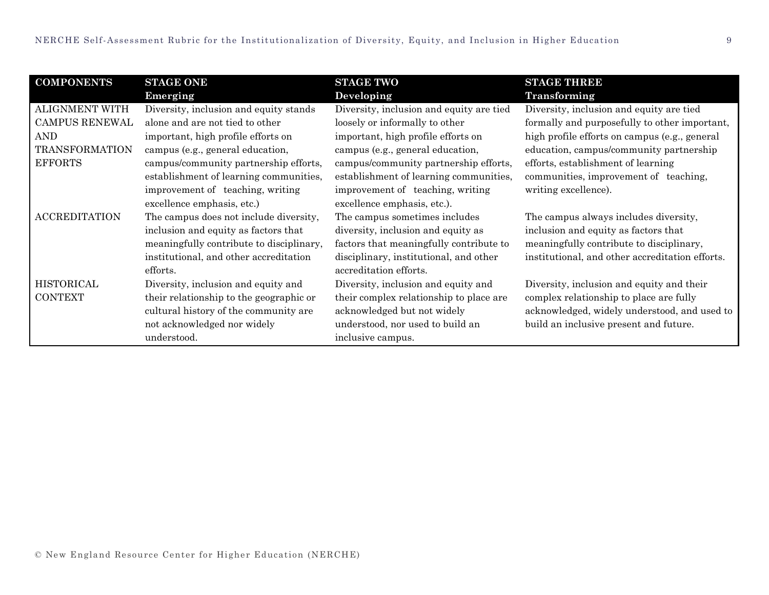| <b>COMPONENTS</b>     | <b>STAGE ONE</b>                         | <b>STAGE TWO</b>                         | <b>STAGE THREE</b>                              |
|-----------------------|------------------------------------------|------------------------------------------|-------------------------------------------------|
|                       | Emerging                                 | Developing                               | Transforming                                    |
| <b>ALIGNMENT WITH</b> | Diversity, inclusion and equity stands   | Diversity, inclusion and equity are tied | Diversity, inclusion and equity are tied        |
| CAMPUS RENEWAL        | alone and are not tied to other          | loosely or informally to other           | formally and purposefully to other important,   |
| AND                   | important, high profile efforts on       | important, high profile efforts on       | high profile efforts on campus (e.g., general   |
| <b>TRANSFORMATION</b> | campus (e.g., general education,         | campus (e.g., general education,         | education, campus/community partnership         |
| <b>EFFORTS</b>        | campus/community partnership efforts,    | campus/community partnership efforts,    | efforts, establishment of learning              |
|                       | establishment of learning communities,   | establishment of learning communities,   | communities, improvement of teaching,           |
|                       | improvement of teaching, writing         | improvement of teaching, writing         | writing excellence).                            |
|                       | excellence emphasis, etc.)               | excellence emphasis, etc.).              |                                                 |
| <b>ACCREDITATION</b>  | The campus does not include diversity,   | The campus sometimes includes            | The campus always includes diversity,           |
|                       | inclusion and equity as factors that     | diversity, inclusion and equity as       | inclusion and equity as factors that            |
|                       | meaningfully contribute to disciplinary, | factors that meaningfully contribute to  | meaningfully contribute to disciplinary,        |
|                       | institutional, and other accreditation   | disciplinary, institutional, and other   | institutional, and other accreditation efforts. |
|                       | efforts.                                 | accreditation efforts.                   |                                                 |
| HISTORICAL            | Diversity, inclusion and equity and      | Diversity, inclusion and equity and      | Diversity, inclusion and equity and their       |
| <b>CONTEXT</b>        | their relationship to the geographic or  | their complex relationship to place are  | complex relationship to place are fully         |
|                       | cultural history of the community are    | acknowledged but not widely              | acknowledged, widely understood, and used to    |
|                       | not acknowledged nor widely              | understood, nor used to build an         | build an inclusive present and future.          |
|                       | understood.                              | inclusive campus.                        |                                                 |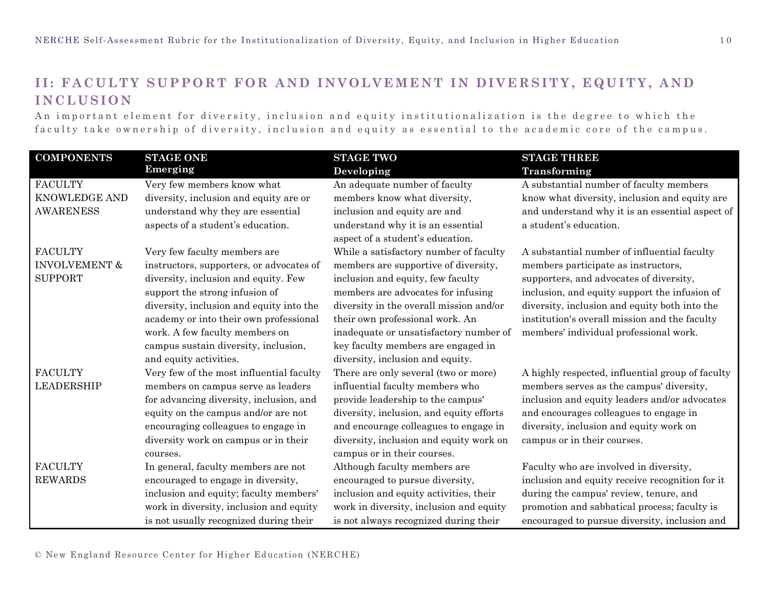## **II: FACULTY SUPPORT FOR AND INVOLVEMENT IN DIVERSITY, EQUITY , AND I N C L U S I O N**

An important element for diversity, inclusion and equity institutionalization is the degree to which the faculty take ownership of diversity, inclusion and equity as essential to the academic core of the campus.

| <b>COMPONENTS</b>        | <b>STAGE ONE</b>                         | <b>STAGE TWO</b>                         | <b>STAGE THREE</b>                               |
|--------------------------|------------------------------------------|------------------------------------------|--------------------------------------------------|
|                          | Emerging                                 | Developing                               | Transforming                                     |
| <b>FACULTY</b>           | Very few members know what               | An adequate number of faculty            | A substantial number of faculty members          |
| KNOWLEDGE AND            | diversity, inclusion and equity are or   | members know what diversity,             | know what diversity, inclusion and equity are    |
| <b>AWARENESS</b>         | understand why they are essential        | inclusion and equity are and             | and understand why it is an essential aspect of  |
|                          | aspects of a student's education.        | understand why it is an essential        | a student's education.                           |
|                          |                                          | aspect of a student's education.         |                                                  |
| <b>FACULTY</b>           | Very few faculty members are             | While a satisfactory number of faculty   | A substantial number of influential faculty      |
| <b>INVOLVEMENT &amp;</b> | instructors, supporters, or advocates of | members are supportive of diversity,     | members participate as instructors,              |
| <b>SUPPORT</b>           | diversity, inclusion and equity. Few     | inclusion and equity, few faculty        | supporters, and advocates of diversity,          |
|                          | support the strong infusion of           | members are advocates for infusing       | inclusion, and equity support the infusion of    |
|                          | diversity, inclusion and equity into the | diversity in the overall mission and/or  | diversity, inclusion and equity both into the    |
|                          | academy or into their own professional   | their own professional work. An          | institution's overall mission and the faculty    |
|                          | work. A few faculty members on           | inadequate or unsatisfactory number of   | members' individual professional work.           |
|                          | campus sustain diversity, inclusion,     | key faculty members are engaged in       |                                                  |
|                          | and equity activities.                   | diversity, inclusion and equity.         |                                                  |
| <b>FACULTY</b>           | Very few of the most influential faculty | There are only several (two or more)     | A highly respected, influential group of faculty |
| <b>LEADERSHIP</b>        | members on campus serve as leaders       | influential faculty members who          | members serves as the campus' diversity,         |
|                          | for advancing diversity, inclusion, and  | provide leadership to the campus'        | inclusion and equity leaders and/or advocates    |
|                          | equity on the campus and/or are not      | diversity, inclusion, and equity efforts | and encourages colleagues to engage in           |
|                          | encouraging colleagues to engage in      | and encourage colleagues to engage in    | diversity, inclusion and equity work on          |
|                          | diversity work on campus or in their     | diversity, inclusion and equity work on  | campus or in their courses.                      |
|                          | courses.                                 | campus or in their courses.              |                                                  |
| <b>FACULTY</b>           | In general, faculty members are not      | Although faculty members are             | Faculty who are involved in diversity,           |
| <b>REWARDS</b>           | encouraged to engage in diversity,       | encouraged to pursue diversity,          | inclusion and equity receive recognition for it  |
|                          | inclusion and equity; faculty members'   | inclusion and equity activities, their   | during the campus' review, tenure, and           |
|                          | work in diversity, inclusion and equity  | work in diversity, inclusion and equity  | promotion and sabbatical process; faculty is     |
|                          | is not usually recognized during their   | is not always recognized during their    | encouraged to pursue diversity, inclusion and    |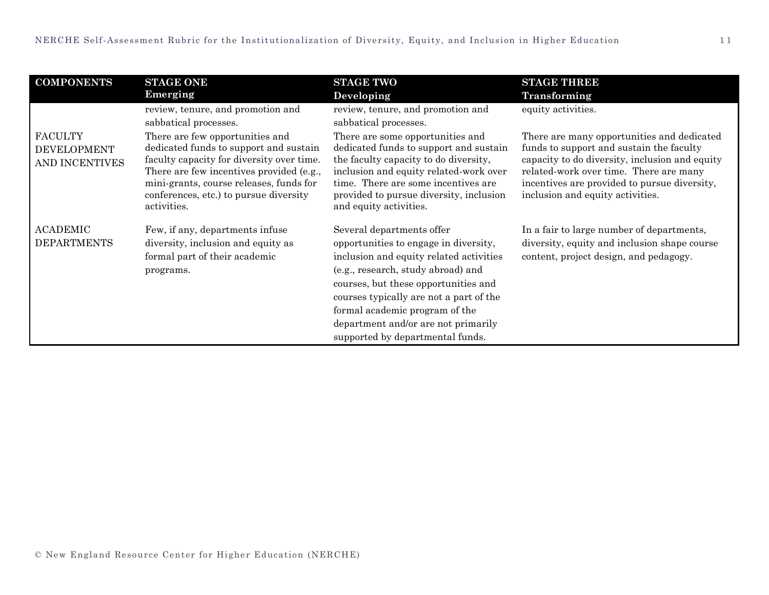| <b>COMPONENTS</b>                                      | <b>STAGE ONE</b>                                                                                                                                                                                                                                                       | <b>STAGE TWO</b>                                                                                                                                                                                                                                                                                                                                    | <b>STAGE THREE</b>                                                                                                                                                                                                                                                     |
|--------------------------------------------------------|------------------------------------------------------------------------------------------------------------------------------------------------------------------------------------------------------------------------------------------------------------------------|-----------------------------------------------------------------------------------------------------------------------------------------------------------------------------------------------------------------------------------------------------------------------------------------------------------------------------------------------------|------------------------------------------------------------------------------------------------------------------------------------------------------------------------------------------------------------------------------------------------------------------------|
|                                                        | Emerging                                                                                                                                                                                                                                                               | Developing                                                                                                                                                                                                                                                                                                                                          | Transforming                                                                                                                                                                                                                                                           |
|                                                        | review, tenure, and promotion and<br>sabbatical processes.                                                                                                                                                                                                             | review, tenure, and promotion and<br>sabbatical processes.                                                                                                                                                                                                                                                                                          | equity activities.                                                                                                                                                                                                                                                     |
| <b>FACULTY</b><br><b>DEVELOPMENT</b><br>AND INCENTIVES | There are few opportunities and<br>dedicated funds to support and sustain<br>faculty capacity for diversity over time.<br>There are few incentives provided (e.g.,<br>mini-grants, course releases, funds for<br>conferences, etc.) to pursue diversity<br>activities. | There are some opportunities and<br>dedicated funds to support and sustain<br>the faculty capacity to do diversity,<br>inclusion and equity related-work over<br>time. There are some incentives are<br>provided to pursue diversity, inclusion<br>and equity activities.                                                                           | There are many opportunities and dedicated<br>funds to support and sustain the faculty<br>capacity to do diversity, inclusion and equity<br>related-work over time. There are many<br>incentives are provided to pursue diversity,<br>inclusion and equity activities. |
| <b>ACADEMIC</b><br><b>DEPARTMENTS</b>                  | Few, if any, departments infuse<br>diversity, inclusion and equity as<br>formal part of their academic<br>programs.                                                                                                                                                    | Several departments offer<br>opportunities to engage in diversity,<br>inclusion and equity related activities<br>(e.g., research, study abroad) and<br>courses, but these opportunities and<br>courses typically are not a part of the<br>formal academic program of the<br>department and/or are not primarily<br>supported by departmental funds. | In a fair to large number of departments,<br>diversity, equity and inclusion shape course<br>content, project design, and pedagogy.                                                                                                                                    |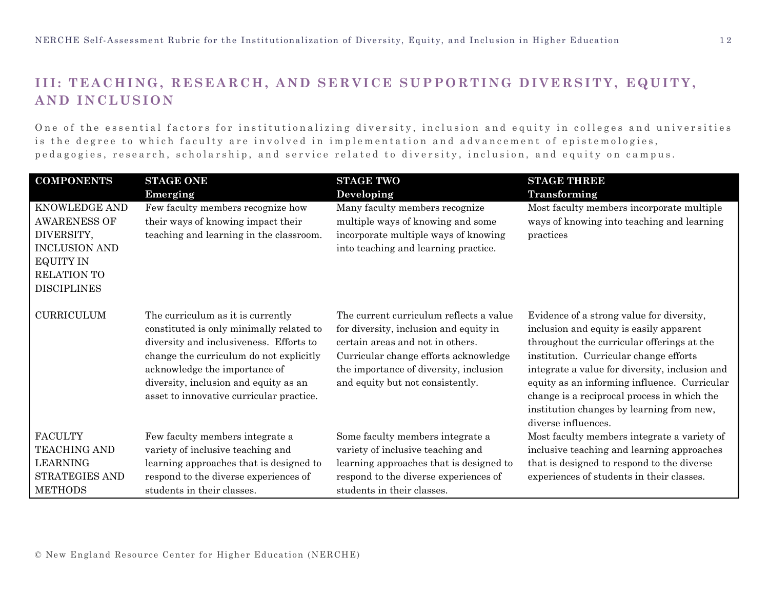## **III: TEACHING, RESEARCH, AND SERVICE SUPPORTING DIVERSITY, EQUITY, AND INCLUSION**

One of the essential factors for institutionalizing diversity, inclusion and equity in colleges and universities is the degree to which faculty are involved in implementation and advancement of epistemologies, pedagogies, research, scholarship, and service related to diversity, inclusion, and equity on campus.

| <b>COMPONENTS</b>    | <b>STAGE ONE</b>                         | <b>STAGE TWO</b>                        | <b>STAGE THREE</b>                             |
|----------------------|------------------------------------------|-----------------------------------------|------------------------------------------------|
|                      | Emerging                                 | Developing                              | Transforming                                   |
| KNOWLEDGE AND        | Few faculty members recognize how        | Many faculty members recognize          | Most faculty members incorporate multiple      |
| <b>AWARENESS OF</b>  | their ways of knowing impact their       | multiple ways of knowing and some       | ways of knowing into teaching and learning     |
| DIVERSITY,           | teaching and learning in the classroom.  | incorporate multiple ways of knowing    | practices                                      |
| <b>INCLUSION AND</b> |                                          | into teaching and learning practice.    |                                                |
| <b>EQUITY IN</b>     |                                          |                                         |                                                |
| <b>RELATION TO</b>   |                                          |                                         |                                                |
| <b>DISCIPLINES</b>   |                                          |                                         |                                                |
| <b>CURRICULUM</b>    | The curriculum as it is currently        | The current curriculum reflects a value | Evidence of a strong value for diversity,      |
|                      | constituted is only minimally related to | for diversity, inclusion and equity in  | inclusion and equity is easily apparent        |
|                      | diversity and inclusiveness. Efforts to  | certain areas and not in others.        | throughout the curricular offerings at the     |
|                      | change the curriculum do not explicitly  | Curricular change efforts acknowledge   | institution. Curricular change efforts         |
|                      | acknowledge the importance of            | the importance of diversity, inclusion  | integrate a value for diversity, inclusion and |
|                      | diversity, inclusion and equity as an    | and equity but not consistently.        | equity as an informing influence. Curricular   |
|                      | asset to innovative curricular practice. |                                         | change is a reciprocal process in which the    |
|                      |                                          |                                         | institution changes by learning from new,      |
|                      |                                          |                                         | diverse influences.                            |
| <b>FACULTY</b>       | Few faculty members integrate a          | Some faculty members integrate a        | Most faculty members integrate a variety of    |
| <b>TEACHING AND</b>  | variety of inclusive teaching and        | variety of inclusive teaching and       | inclusive teaching and learning approaches     |
| <b>LEARNING</b>      | learning approaches that is designed to  | learning approaches that is designed to | that is designed to respond to the diverse     |
| STRATEGIES AND       | respond to the diverse experiences of    | respond to the diverse experiences of   | experiences of students in their classes.      |
| <b>METHODS</b>       | students in their classes.               | students in their classes.              |                                                |

© New England Resource Center for Higher Education (NERCHE)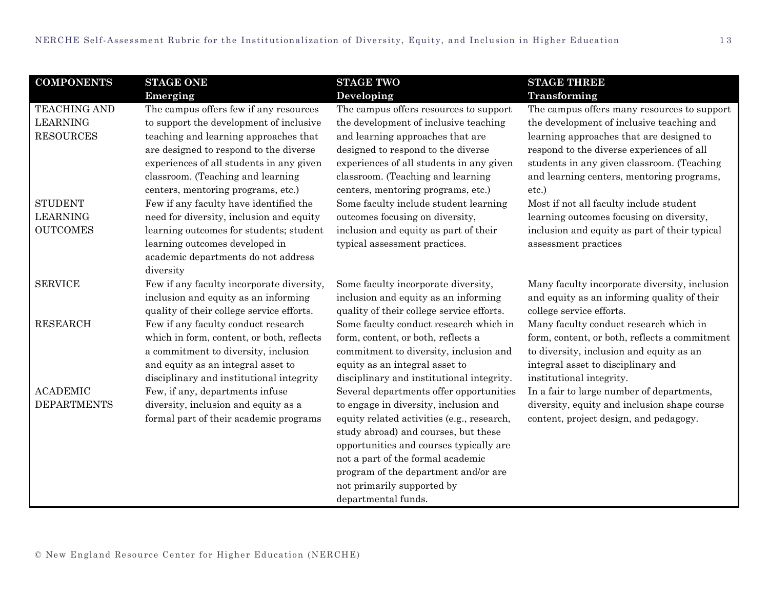| <b>COMPONENTS</b>  | <b>STAGE ONE</b>                          | <b>STAGE TWO</b>                           | <b>STAGE THREE</b>                            |
|--------------------|-------------------------------------------|--------------------------------------------|-----------------------------------------------|
|                    | Emerging                                  | Developing                                 | Transforming                                  |
| TEACHING AND       | The campus offers few if any resources    | The campus offers resources to support     | The campus offers many resources to support   |
| <b>LEARNING</b>    | to support the development of inclusive   | the development of inclusive teaching      | the development of inclusive teaching and     |
| <b>RESOURCES</b>   | teaching and learning approaches that     | and learning approaches that are           | learning approaches that are designed to      |
|                    | are designed to respond to the diverse    | designed to respond to the diverse         | respond to the diverse experiences of all     |
|                    | experiences of all students in any given  | experiences of all students in any given   | students in any given classroom. (Teaching    |
|                    | classroom. (Teaching and learning         | classroom. (Teaching and learning          | and learning centers, mentoring programs,     |
|                    | centers, mentoring programs, etc.)        | centers, mentoring programs, etc.)         | etc.)                                         |
| <b>STUDENT</b>     | Few if any faculty have identified the    | Some faculty include student learning      | Most if not all faculty include student       |
| <b>LEARNING</b>    | need for diversity, inclusion and equity  | outcomes focusing on diversity,            | learning outcomes focusing on diversity,      |
| <b>OUTCOMES</b>    | learning outcomes for students; student   | inclusion and equity as part of their      | inclusion and equity as part of their typical |
|                    | learning outcomes developed in            | typical assessment practices.              | assessment practices                          |
|                    | academic departments do not address       |                                            |                                               |
|                    | diversity                                 |                                            |                                               |
| <b>SERVICE</b>     | Few if any faculty incorporate diversity, | Some faculty incorporate diversity,        | Many faculty incorporate diversity, inclusion |
|                    | inclusion and equity as an informing      | inclusion and equity as an informing       | and equity as an informing quality of their   |
|                    | quality of their college service efforts. | quality of their college service efforts.  | college service efforts.                      |
| <b>RESEARCH</b>    | Few if any faculty conduct research       | Some faculty conduct research which in     | Many faculty conduct research which in        |
|                    | which in form, content, or both, reflects | form, content, or both, reflects a         | form, content, or both, reflects a commitment |
|                    | a commitment to diversity, inclusion      | commitment to diversity, inclusion and     | to diversity, inclusion and equity as an      |
|                    | and equity as an integral asset to        | equity as an integral asset to             | integral asset to disciplinary and            |
|                    | disciplinary and institutional integrity  | disciplinary and institutional integrity.  | institutional integrity.                      |
| <b>ACADEMIC</b>    | Few, if any, departments infuse           | Several departments offer opportunities    | In a fair to large number of departments,     |
| <b>DEPARTMENTS</b> | diversity, inclusion and equity as a      | to engage in diversity, inclusion and      | diversity, equity and inclusion shape course  |
|                    | formal part of their academic programs    | equity related activities (e.g., research, | content, project design, and pedagogy.        |
|                    |                                           | study abroad) and courses, but these       |                                               |
|                    |                                           | opportunities and courses typically are    |                                               |
|                    |                                           | not a part of the formal academic          |                                               |
|                    |                                           | program of the department and/or are       |                                               |
|                    |                                           | not primarily supported by                 |                                               |
|                    |                                           | departmental funds.                        |                                               |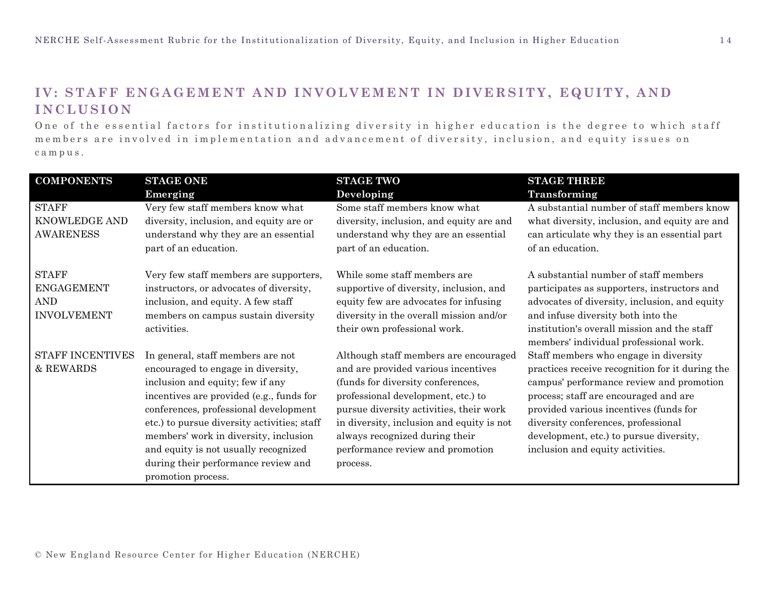### **IV: STAFF ENGAGEMENT AND INVOLVEMENT IN DIVERSITY, EQUITY, AND I N C L U S I O N**

One of the essential factors for institutionalizing diversity in higher education is the degree to which staff members are involved in implementation and advancement of diversity, inclusion, and equity issues on c a m p u s .

| <b>COMPONENTS</b>                                                     | <b>STAGE ONE</b>                                                                                                                                                                                                                                                                                                                                                                              | <b>STAGE TWO</b>                                                                                                                                                                                                                                                                                                                  | <b>STAGE THREE</b>                                                                                                                                                                                                                                                                                                                            |
|-----------------------------------------------------------------------|-----------------------------------------------------------------------------------------------------------------------------------------------------------------------------------------------------------------------------------------------------------------------------------------------------------------------------------------------------------------------------------------------|-----------------------------------------------------------------------------------------------------------------------------------------------------------------------------------------------------------------------------------------------------------------------------------------------------------------------------------|-----------------------------------------------------------------------------------------------------------------------------------------------------------------------------------------------------------------------------------------------------------------------------------------------------------------------------------------------|
|                                                                       | Emerging                                                                                                                                                                                                                                                                                                                                                                                      | Developing                                                                                                                                                                                                                                                                                                                        | Transforming                                                                                                                                                                                                                                                                                                                                  |
| <b>STAFF</b><br>KNOWLEDGE AND<br><b>AWARENESS</b>                     | Very few staff members know what<br>diversity, inclusion, and equity are or<br>understand why they are an essential<br>part of an education.                                                                                                                                                                                                                                                  | Some staff members know what<br>diversity, inclusion, and equity are and<br>understand why they are an essential<br>part of an education.                                                                                                                                                                                         | A substantial number of staff members know<br>what diversity, inclusion, and equity are and<br>can articulate why they is an essential part<br>of an education.                                                                                                                                                                               |
| <b>STAFF</b><br><b>ENGAGEMENT</b><br><b>AND</b><br><b>INVOLVEMENT</b> | Very few staff members are supporters,<br>instructors, or advocates of diversity,<br>inclusion, and equity. A few staff<br>members on campus sustain diversity<br>activities.                                                                                                                                                                                                                 | While some staff members are<br>supportive of diversity, inclusion, and<br>equity few are advocates for infusing<br>diversity in the overall mission and/or<br>their own professional work.                                                                                                                                       | A substantial number of staff members<br>participates as supporters, instructors and<br>advocates of diversity, inclusion, and equity<br>and infuse diversity both into the<br>institution's overall mission and the staff<br>members' individual professional work.                                                                          |
| <b>STAFF INCENTIVES</b><br>& REWARDS                                  | In general, staff members are not<br>encouraged to engage in diversity,<br>inclusion and equity; few if any<br>incentives are provided (e.g., funds for<br>conferences, professional development<br>etc.) to pursue diversity activities; staff<br>members' work in diversity, inclusion<br>and equity is not usually recognized<br>during their performance review and<br>promotion process. | Although staff members are encouraged<br>and are provided various incentives<br>(funds for diversity conferences,<br>professional development, etc.) to<br>pursue diversity activities, their work<br>in diversity, inclusion and equity is not<br>always recognized during their<br>performance review and promotion<br>process. | Staff members who engage in diversity<br>practices receive recognition for it during the<br>campus' performance review and promotion<br>process; staff are encouraged and are<br>provided various incentives (funds for<br>diversity conferences, professional<br>development, etc.) to pursue diversity,<br>inclusion and equity activities. |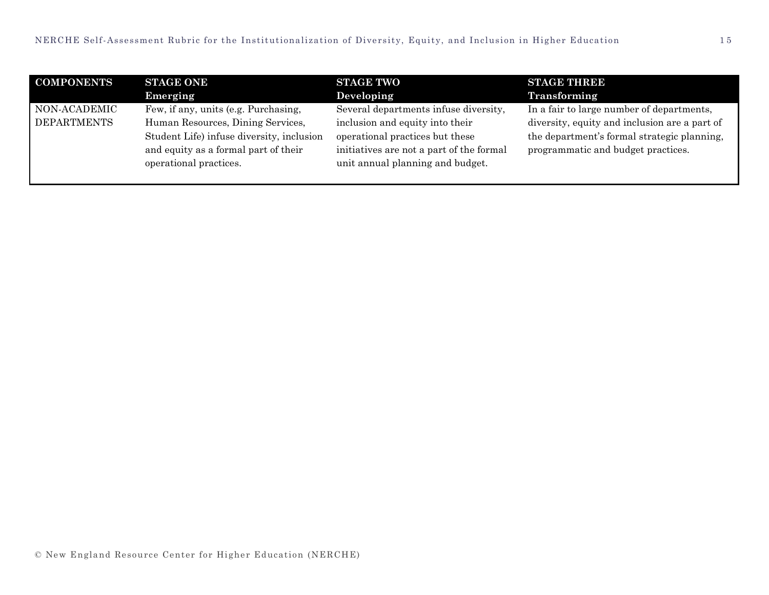| <b>COMPONENTS</b>  | <b>STAGE ONE</b>                          | <b>STAGE TWO</b>                         | <b>STAGE THREE</b>                            |
|--------------------|-------------------------------------------|------------------------------------------|-----------------------------------------------|
|                    | Emerging                                  | Developing                               | Transforming                                  |
| NON-ACADEMIC       | Few, if any, units (e.g. Purchasing,      | Several departments infuse diversity,    | In a fair to large number of departments,     |
| <b>DEPARTMENTS</b> | Human Resources, Dining Services,         | inclusion and equity into their          | diversity, equity and inclusion are a part of |
|                    | Student Life) infuse diversity, inclusion | operational practices but these          | the department's formal strategic planning,   |
|                    | and equity as a formal part of their      | initiatives are not a part of the formal | programmatic and budget practices.            |
|                    | operational practices.                    | unit annual planning and budget.         |                                               |
|                    |                                           |                                          |                                               |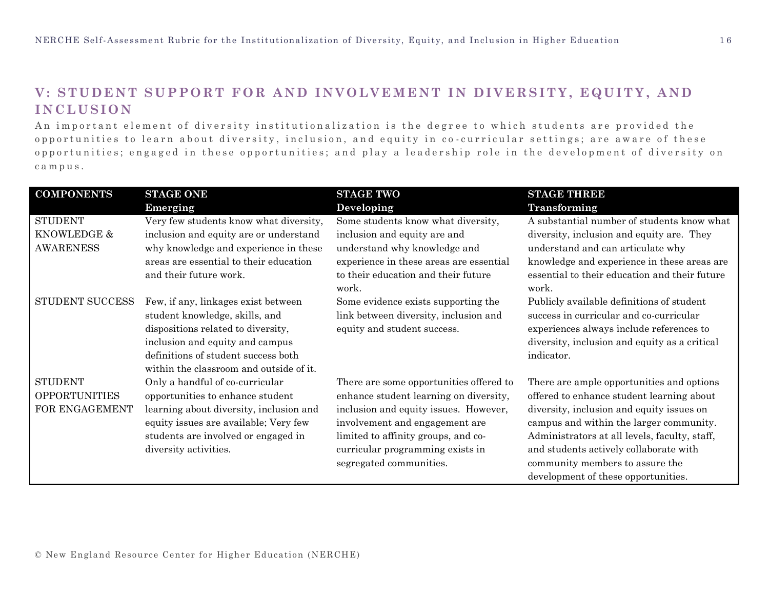### **V: STUDENT SUPPORT FOR AND INVOLVEMENT IN DIVERSITY, EQUITY , AND I N C L U S I O N**

An important element of diversity institutionalization is the degree to which students are provided the opportunities to learn about diversity, inclusion, and equity in co-curricular settings; are aware of these opportunities; engaged in these opportunities; and play a leadership role in the development of diversity on c a m p u s .

| <b>COMPONENTS</b>      | <b>STAGE ONE</b>                        | <b>STAGE TWO</b>                             | <b>STAGE THREE</b>                                     |
|------------------------|-----------------------------------------|----------------------------------------------|--------------------------------------------------------|
|                        | Emerging                                | Developing                                   | Transforming                                           |
| <b>STUDENT</b>         | Very few students know what diversity,  | Some students know what diversity,           | A substantial number of students know what             |
| KNOWLEDGE &            | inclusion and equity are or understand  | inclusion and equity are and                 | diversity, inclusion and equity are. They              |
| <b>AWARENESS</b>       | why knowledge and experience in these   | understand why knowledge and                 | understand and can articulate why                      |
|                        | areas are essential to their education  | experience in these areas are essential      | knowledge and experience in these areas are            |
|                        | and their future work.                  | to their education and their future<br>work. | essential to their education and their future<br>work. |
| <b>STUDENT SUCCESS</b> | Few, if any, linkages exist between     | Some evidence exists supporting the          | Publicly available definitions of student              |
|                        | student knowledge, skills, and          | link between diversity, inclusion and        | success in curricular and co-curricular                |
|                        | dispositions related to diversity,      | equity and student success.                  | experiences always include references to               |
|                        | inclusion and equity and campus         |                                              | diversity, inclusion and equity as a critical          |
|                        | definitions of student success both     |                                              | indicator.                                             |
|                        | within the classroom and outside of it. |                                              |                                                        |
| <b>STUDENT</b>         | Only a handful of co-curricular         | There are some opportunities offered to      | There are ample opportunities and options              |
| <b>OPPORTUNITIES</b>   | opportunities to enhance student        | enhance student learning on diversity,       | offered to enhance student learning about              |
| FOR ENGAGEMENT         | learning about diversity, inclusion and | inclusion and equity issues. However,        | diversity, inclusion and equity issues on              |
|                        | equity issues are available; Very few   | involvement and engagement are               | campus and within the larger community.                |
|                        | students are involved or engaged in     | limited to affinity groups, and co-          | Administrators at all levels, faculty, staff,          |
|                        | diversity activities.                   | curricular programming exists in             | and students actively collaborate with                 |
|                        |                                         | segregated communities.                      | community members to assure the                        |
|                        |                                         |                                              | development of these opportunities.                    |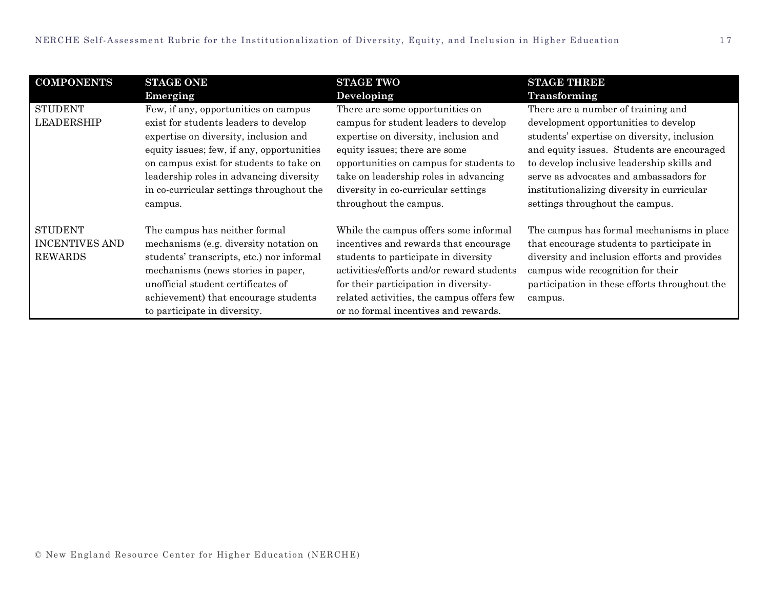| <b>COMPONENTS</b>                                         | <b>STAGE ONE</b><br>Emerging                                                                                                                                                                                                                                                                                     | <b>STAGE TWO</b><br>Developing                                                                                                                                                                                                                                                                          | <b>STAGE THREE</b><br><b>Transforming</b>                                                                                                                                                                                                                                                                                                        |
|-----------------------------------------------------------|------------------------------------------------------------------------------------------------------------------------------------------------------------------------------------------------------------------------------------------------------------------------------------------------------------------|---------------------------------------------------------------------------------------------------------------------------------------------------------------------------------------------------------------------------------------------------------------------------------------------------------|--------------------------------------------------------------------------------------------------------------------------------------------------------------------------------------------------------------------------------------------------------------------------------------------------------------------------------------------------|
| <b>STUDENT</b><br><b>LEADERSHIP</b>                       | Few, if any, opportunities on campus<br>exist for students leaders to develop<br>expertise on diversity, inclusion and<br>equity issues; few, if any, opportunities<br>on campus exist for students to take on<br>leadership roles in advancing diversity<br>in co-curricular settings throughout the<br>campus. | There are some opportunities on<br>campus for student leaders to develop<br>expertise on diversity, inclusion and<br>equity issues; there are some<br>opportunities on campus for students to<br>take on leadership roles in advancing<br>diversity in co-curricular settings<br>throughout the campus. | There are a number of training and<br>development opportunities to develop<br>students' expertise on diversity, inclusion<br>and equity issues. Students are encouraged<br>to develop inclusive leadership skills and<br>serve as advocates and ambassadors for<br>institutionalizing diversity in curricular<br>settings throughout the campus. |
| <b>STUDENT</b><br><b>INCENTIVES AND</b><br><b>REWARDS</b> | The campus has neither formal<br>mechanisms (e.g. diversity notation on<br>students' transcripts, etc.) nor informal<br>mechanisms (news stories in paper,<br>unofficial student certificates of<br>achievement) that encourage students<br>to participate in diversity.                                         | While the campus offers some informal<br>incentives and rewards that encourage<br>students to participate in diversity<br>activities/efforts and/or reward students<br>for their participation in diversity-<br>related activities, the campus offers few<br>or no formal incentives and rewards.       | The campus has formal mechanisms in place<br>that encourage students to participate in<br>diversity and inclusion efforts and provides<br>campus wide recognition for their<br>participation in these efforts throughout the<br>campus.                                                                                                          |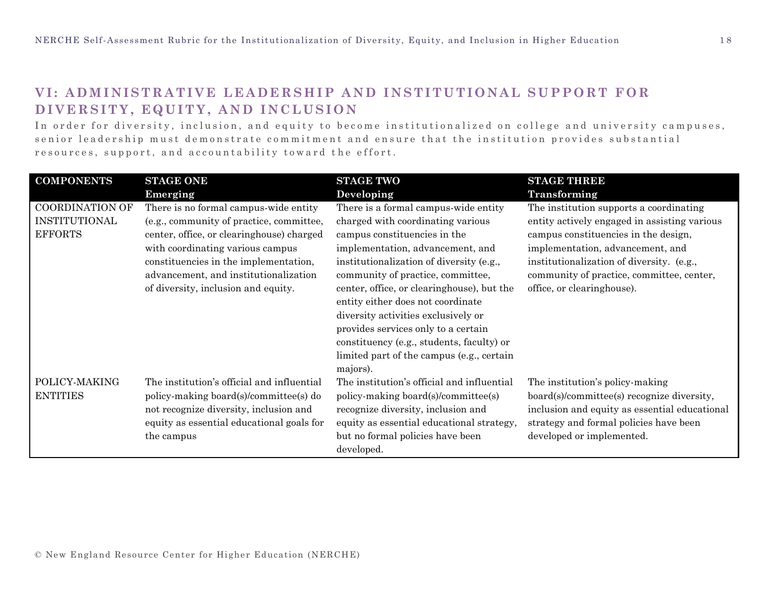### **VI: ADMINISTRATIVE LEADERSHIP AND INSTITUTIONAL SUPPORT FOR DIVERSITY, EQUITY, AND INCLUSION**

In order for diversity, inclusion, and equity to become institutionalized on college and university campuses, senior leadership must demonstrate commitment and ensure that the institution provides substantial resources, support, and accountability toward the effort.

| <b>COMPONENTS</b>      | <b>STAGE ONE</b>                           | <b>STAGE TWO</b>                           | <b>STAGE THREE</b>                            |
|------------------------|--------------------------------------------|--------------------------------------------|-----------------------------------------------|
|                        | Emerging                                   | Developing                                 | Transforming                                  |
| <b>COORDINATION OF</b> | There is no formal campus-wide entity      | There is a formal campus-wide entity       | The institution supports a coordinating       |
| INSTITUTIONAL          | (e.g., community of practice, committee,   | charged with coordinating various          | entity actively engaged in assisting various  |
| <b>EFFORTS</b>         | center, office, or clearinghouse) charged  | campus constituencies in the               | campus constituencies in the design,          |
|                        | with coordinating various campus           | implementation, advancement, and           | implementation, advancement, and              |
|                        | constituencies in the implementation,      | institutionalization of diversity (e.g.,   | institutionalization of diversity. (e.g.,     |
|                        | advancement, and institutionalization      | community of practice, committee,          | community of practice, committee, center,     |
|                        | of diversity, inclusion and equity.        | center, office, or clearinghouse), but the | office, or clearinghouse).                    |
|                        |                                            | entity either does not coordinate          |                                               |
|                        |                                            | diversity activities exclusively or        |                                               |
|                        |                                            | provides services only to a certain        |                                               |
|                        |                                            | constituency (e.g., students, faculty) or  |                                               |
|                        |                                            | limited part of the campus (e.g., certain  |                                               |
|                        |                                            | majors).                                   |                                               |
| POLICY-MAKING          | The institution's official and influential | The institution's official and influential | The institution's policy-making               |
| <b>ENTITIES</b>        | policy-making board(s)/committee(s) do     | policy-making board(s)/committee(s)        | board(s)/committee(s) recognize diversity,    |
|                        | not recognize diversity, inclusion and     | recognize diversity, inclusion and         | inclusion and equity as essential educational |
|                        | equity as essential educational goals for  | equity as essential educational strategy,  | strategy and formal policies have been        |
|                        | the campus                                 | but no formal policies have been           | developed or implemented.                     |
|                        |                                            | developed.                                 |                                               |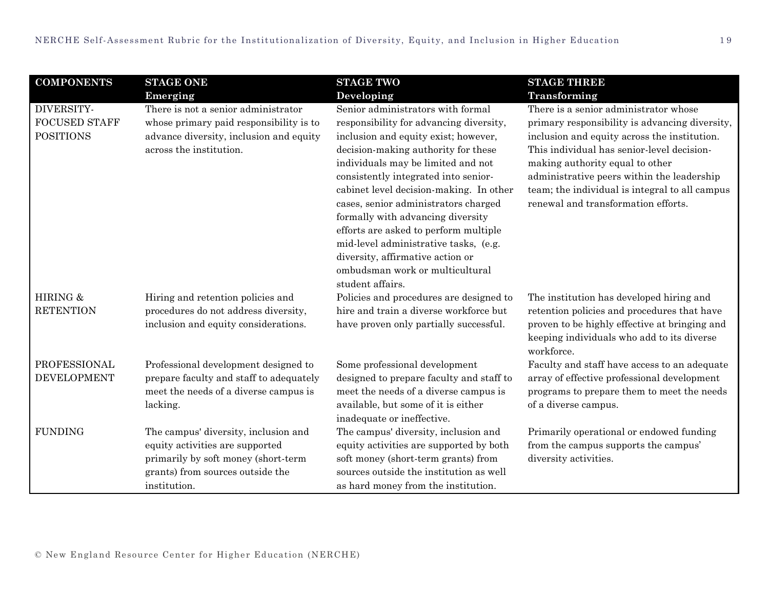| <b>COMPONENTS</b>                                      | <b>STAGE ONE</b>                                                                                                                                                   | <b>STAGE TWO</b>                                                                                                                                                                                                                                                                                                                                                                                                                                                                                                                               | <b>STAGE THREE</b>                                                                                                                                                                                                                                                                                                                                              |
|--------------------------------------------------------|--------------------------------------------------------------------------------------------------------------------------------------------------------------------|------------------------------------------------------------------------------------------------------------------------------------------------------------------------------------------------------------------------------------------------------------------------------------------------------------------------------------------------------------------------------------------------------------------------------------------------------------------------------------------------------------------------------------------------|-----------------------------------------------------------------------------------------------------------------------------------------------------------------------------------------------------------------------------------------------------------------------------------------------------------------------------------------------------------------|
|                                                        | Emerging                                                                                                                                                           | Developing                                                                                                                                                                                                                                                                                                                                                                                                                                                                                                                                     | Transforming                                                                                                                                                                                                                                                                                                                                                    |
| DIVERSITY-<br><b>FOCUSED STAFF</b><br><b>POSITIONS</b> | There is not a senior administrator<br>whose primary paid responsibility is to<br>advance diversity, inclusion and equity<br>across the institution.               | Senior administrators with formal<br>responsibility for advancing diversity,<br>inclusion and equity exist; however,<br>decision-making authority for these<br>individuals may be limited and not<br>consistently integrated into senior-<br>cabinet level decision-making. In other<br>cases, senior administrators charged<br>formally with advancing diversity<br>efforts are asked to perform multiple<br>mid-level administrative tasks, (e.g.<br>diversity, affirmative action or<br>ombudsman work or multicultural<br>student affairs. | There is a senior administrator whose<br>primary responsibility is advancing diversity,<br>inclusion and equity across the institution.<br>This individual has senior-level decision-<br>making authority equal to other<br>administrative peers within the leadership<br>team; the individual is integral to all campus<br>renewal and transformation efforts. |
| HIRING &<br><b>RETENTION</b>                           | Hiring and retention policies and<br>procedures do not address diversity,<br>inclusion and equity considerations.                                                  | Policies and procedures are designed to<br>hire and train a diverse workforce but<br>have proven only partially successful.                                                                                                                                                                                                                                                                                                                                                                                                                    | The institution has developed hiring and<br>retention policies and procedures that have<br>proven to be highly effective at bringing and<br>keeping individuals who add to its diverse<br>workforce.                                                                                                                                                            |
| PROFESSIONAL<br><b>DEVELOPMENT</b>                     | Professional development designed to<br>prepare faculty and staff to adequately<br>meet the needs of a diverse campus is<br>lacking.                               | Some professional development<br>designed to prepare faculty and staff to<br>meet the needs of a diverse campus is<br>available, but some of it is either<br>inadequate or ineffective.                                                                                                                                                                                                                                                                                                                                                        | Faculty and staff have access to an adequate<br>array of effective professional development<br>programs to prepare them to meet the needs<br>of a diverse campus.                                                                                                                                                                                               |
| <b>FUNDING</b>                                         | The campus' diversity, inclusion and<br>equity activities are supported<br>primarily by soft money (short-term<br>grants) from sources outside the<br>institution. | The campus' diversity, inclusion and<br>equity activities are supported by both<br>soft money (short-term grants) from<br>sources outside the institution as well<br>as hard money from the institution.                                                                                                                                                                                                                                                                                                                                       | Primarily operational or endowed funding<br>from the campus supports the campus'<br>diversity activities.                                                                                                                                                                                                                                                       |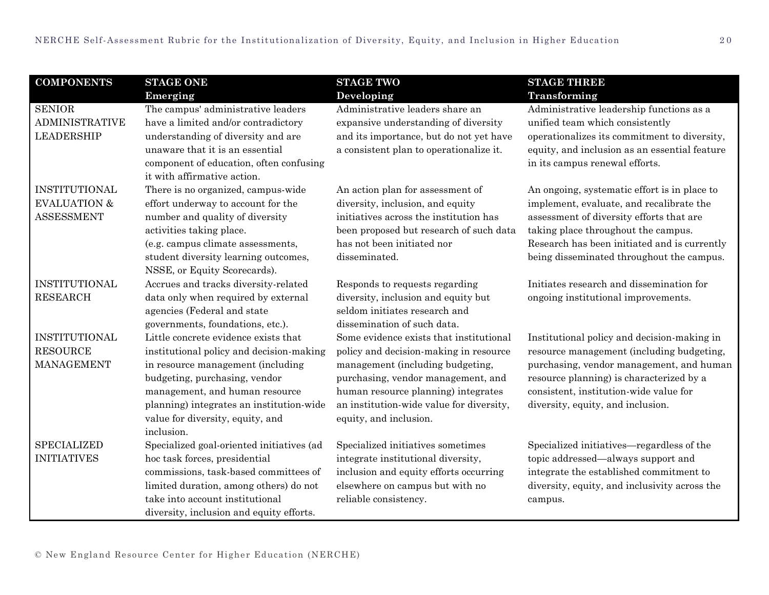| <b>COMPONENTS</b>                                                    | <b>STAGE ONE</b>                                                                                                                                                                                                                                                                       | <b>STAGE TWO</b>                                                                                                                                                                                                                                                         | <b>STAGE THREE</b>                                                                                                                                                                                                                                                       |
|----------------------------------------------------------------------|----------------------------------------------------------------------------------------------------------------------------------------------------------------------------------------------------------------------------------------------------------------------------------------|--------------------------------------------------------------------------------------------------------------------------------------------------------------------------------------------------------------------------------------------------------------------------|--------------------------------------------------------------------------------------------------------------------------------------------------------------------------------------------------------------------------------------------------------------------------|
|                                                                      | Emerging                                                                                                                                                                                                                                                                               | Developing                                                                                                                                                                                                                                                               | Transforming                                                                                                                                                                                                                                                             |
| <b>SENIOR</b><br><b>ADMINISTRATIVE</b><br><b>LEADERSHIP</b>          | The campus' administrative leaders<br>have a limited and/or contradictory<br>understanding of diversity and are<br>unaware that it is an essential<br>component of education, often confusing<br>it with affirmative action.                                                           | Administrative leaders share an<br>expansive understanding of diversity<br>and its importance, but do not yet have<br>a consistent plan to operationalize it.                                                                                                            | Administrative leadership functions as a<br>unified team which consistently<br>operationalizes its commitment to diversity,<br>equity, and inclusion as an essential feature<br>in its campus renewal efforts.                                                           |
| <b>INSTITUTIONAL</b><br><b>EVALUATION &amp;</b><br><b>ASSESSMENT</b> | There is no organized, campus-wide<br>effort underway to account for the<br>number and quality of diversity<br>activities taking place.<br>(e.g. campus climate assessments,<br>student diversity learning outcomes,<br>NSSE, or Equity Scorecards).                                   | An action plan for assessment of<br>diversity, inclusion, and equity<br>initiatives across the institution has<br>been proposed but research of such data<br>has not been initiated nor<br>disseminated.                                                                 | An ongoing, systematic effort is in place to<br>implement, evaluate, and recalibrate the<br>assessment of diversity efforts that are<br>taking place throughout the campus.<br>Research has been initiated and is currently<br>being disseminated throughout the campus. |
| INSTITUTIONAL<br><b>RESEARCH</b>                                     | Accrues and tracks diversity-related<br>data only when required by external<br>agencies (Federal and state<br>governments, foundations, etc.).                                                                                                                                         | Responds to requests regarding<br>diversity, inclusion and equity but<br>seldom initiates research and<br>dissemination of such data.                                                                                                                                    | Initiates research and dissemination for<br>ongoing institutional improvements.                                                                                                                                                                                          |
| INSTITUTIONAL<br><b>RESOURCE</b><br><b>MANAGEMENT</b>                | Little concrete evidence exists that<br>institutional policy and decision-making<br>in resource management (including<br>budgeting, purchasing, vendor<br>management, and human resource<br>planning) integrates an institution-wide<br>value for diversity, equity, and<br>inclusion. | Some evidence exists that institutional<br>policy and decision-making in resource<br>management (including budgeting,<br>purchasing, vendor management, and<br>human resource planning) integrates<br>an institution-wide value for diversity,<br>equity, and inclusion. | Institutional policy and decision-making in<br>resource management (including budgeting,<br>purchasing, vendor management, and human<br>resource planning) is characterized by a<br>consistent, institution-wide value for<br>diversity, equity, and inclusion.          |
| <b>SPECIALIZED</b><br><b>INITIATIVES</b>                             | Specialized goal-oriented initiatives (ad<br>hoc task forces, presidential<br>commissions, task-based committees of<br>limited duration, among others) do not<br>take into account institutional<br>diversity, inclusion and equity efforts.                                           | Specialized initiatives sometimes<br>integrate institutional diversity,<br>inclusion and equity efforts occurring<br>elsewhere on campus but with no<br>reliable consistency.                                                                                            | Specialized initiatives—regardless of the<br>topic addressed—always support and<br>integrate the established commitment to<br>diversity, equity, and inclusivity across the<br>campus.                                                                                   |

© New England Resource Center for Higher Education (NERCHE)